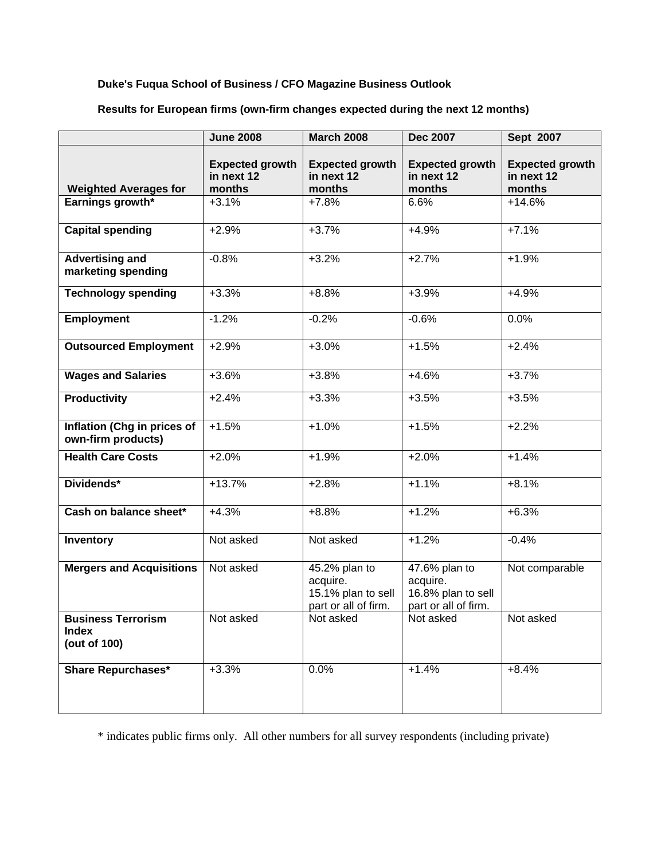## **Duke's Fuqua School of Business / CFO Magazine Business Outlook**

|                                                           | <b>June 2008</b>                               | <b>March 2008</b>                                                       | <b>Dec 2007</b>                                                         | Sept 2007                                      |
|-----------------------------------------------------------|------------------------------------------------|-------------------------------------------------------------------------|-------------------------------------------------------------------------|------------------------------------------------|
| <b>Weighted Averages for</b>                              | <b>Expected growth</b><br>in next 12<br>months | <b>Expected growth</b><br>in next 12<br>months                          | <b>Expected growth</b><br>in next 12<br>months                          | <b>Expected growth</b><br>in next 12<br>months |
| Earnings growth*                                          | $+3.1%$                                        | $+7.8%$                                                                 | 6.6%                                                                    | $+14.6%$                                       |
|                                                           |                                                |                                                                         |                                                                         |                                                |
| <b>Capital spending</b>                                   | $+2.9%$                                        | $+3.7%$                                                                 | $+4.9%$                                                                 | $+7.1%$                                        |
| <b>Advertising and</b><br>marketing spending              | $-0.8%$                                        | $+3.2%$                                                                 | $+2.7%$                                                                 | $+1.9%$                                        |
| <b>Technology spending</b>                                | $+3.3%$                                        | $+8.8%$                                                                 | $+3.9%$                                                                 | $+4.9%$                                        |
| <b>Employment</b>                                         | $-1.2%$                                        | $-0.2%$                                                                 | $-0.6%$                                                                 | 0.0%                                           |
| <b>Outsourced Employment</b>                              | $+2.9%$                                        | $+3.0%$                                                                 | $+1.5%$                                                                 | $+2.4%$                                        |
| <b>Wages and Salaries</b>                                 | $+3.6%$                                        | $+3.8%$                                                                 | $+4.6%$                                                                 | $+3.7%$                                        |
| <b>Productivity</b>                                       | $+2.4%$                                        | $+3.3%$                                                                 | $+3.5%$                                                                 | $+3.5%$                                        |
| Inflation (Chg in prices of<br>own-firm products)         | $+1.5%$                                        | $+1.0%$                                                                 | $+1.5%$                                                                 | $+2.2%$                                        |
| <b>Health Care Costs</b>                                  | $+2.0%$                                        | $+1.9%$                                                                 | $+2.0%$                                                                 | $+1.4%$                                        |
| Dividends*                                                | $+13.7%$                                       | $+2.8%$                                                                 | $+1.1%$                                                                 | $+8.1%$                                        |
| Cash on balance sheet*                                    | $+4.3%$                                        | $+8.8%$                                                                 | $+1.2%$                                                                 | $+6.3%$                                        |
| Inventory                                                 | Not asked                                      | Not asked                                                               | $+1.2%$                                                                 | $-0.4%$                                        |
| <b>Mergers and Acquisitions</b>                           | Not asked                                      | 45.2% plan to<br>acquire.<br>15.1% plan to sell<br>part or all of firm. | 47.6% plan to<br>acquire.<br>16.8% plan to sell<br>part or all of firm. | Not comparable                                 |
| <b>Business Terrorism</b><br><b>Index</b><br>(out of 100) | Not asked                                      | Not asked                                                               | Not asked                                                               | Not asked                                      |
| <b>Share Repurchases*</b>                                 | $+3.3%$                                        | 0.0%                                                                    | $+1.4%$                                                                 | $+8.4%$                                        |

**Results for European firms (own-firm changes expected during the next 12 months)** 

\* indicates public firms only. All other numbers for all survey respondents (including private)